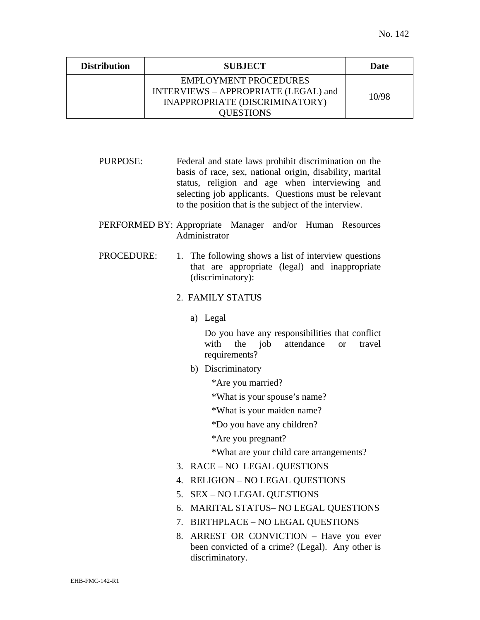| <b>Distribution</b> | <b>SUBJECT</b>                                                                                                      | Date  |
|---------------------|---------------------------------------------------------------------------------------------------------------------|-------|
|                     | <b>EMPLOYMENT PROCEDURES</b><br>INTERVIEWS - APPROPRIATE (LEGAL) and<br>INAPPROPRIATE (DISCRIMINATORY)<br>OUESTIONS | 10/98 |

PURPOSE: Federal and state laws prohibit discrimination on the basis of race, sex, national origin, disability, marital status, religion and age when interviewing and selecting job applicants. Questions must be relevant to the position that is the subject of the interview.

## PERFORMED BY: Appropriate Manager and/or Human Resources Administrator

PROCEDURE: 1. The following shows a list of interview questions that are appropriate (legal) and inappropriate (discriminatory):

## 2. FAMILY STATUS

a) Legal

Do you have any responsibilities that conflict with the job attendance or travel requirements?

- b) Discriminatory
	- \*Are you married?

\*What is your spouse's name?

\*What is your maiden name?

\*Do you have any children?

\*Are you pregnant?

\*What are your child care arrangements?

- 3. RACE NO LEGAL QUESTIONS
- 4. RELIGION NO LEGAL QUESTIONS
- 5. SEX NO LEGAL QUESTIONS
- 6. MARITAL STATUS– NO LEGAL QUESTIONS
- 7. BIRTHPLACE NO LEGAL QUESTIONS
- 8. ARREST OR CONVICTION Have you ever been convicted of a crime? (Legal). Any other is discriminatory.